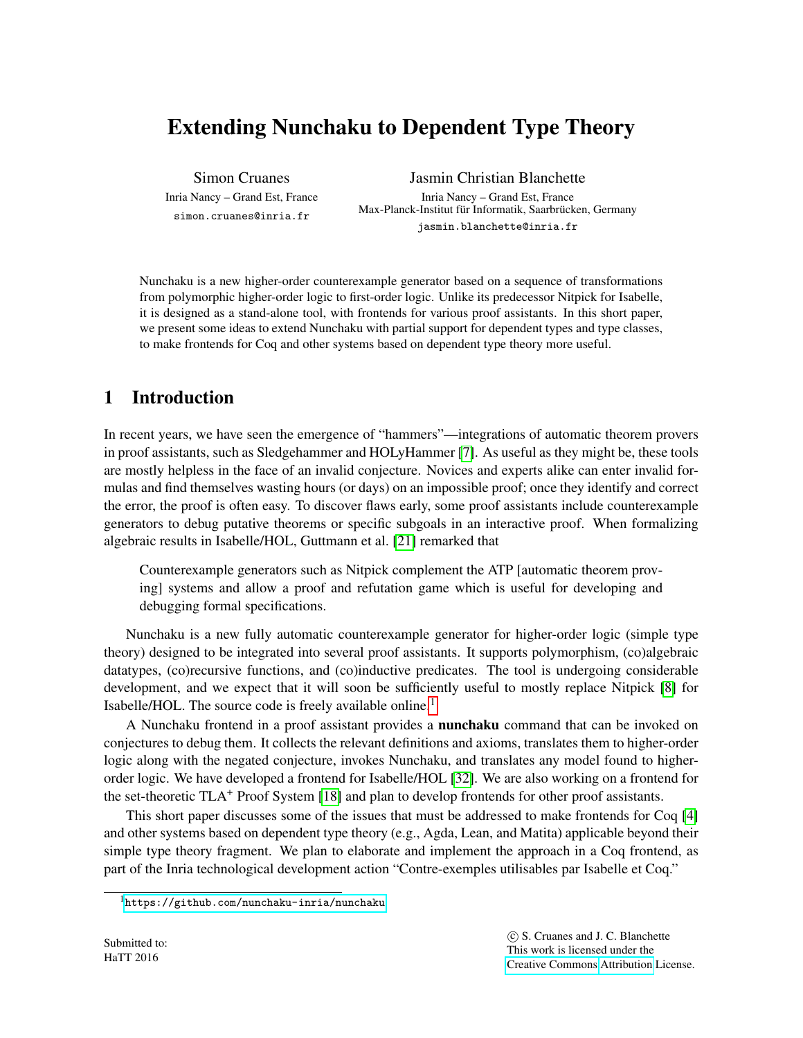# Extending Nunchaku to Dependent Type Theory

Simon Cruanes Inria Nancy – Grand Est, France simon.cruanes@inria.fr

Jasmin Christian Blanchette

Inria Nancy – Grand Est, France Max-Planck-Institut für Informatik, Saarbrücken, Germany jasmin.blanchette@inria.fr

Nunchaku is a new higher-order counterexample generator based on a sequence of transformations from polymorphic higher-order logic to first-order logic. Unlike its predecessor Nitpick for Isabelle, it is designed as a stand-alone tool, with frontends for various proof assistants. In this short paper, we present some ideas to extend Nunchaku with partial support for dependent types and type classes, to make frontends for Coq and other systems based on dependent type theory more useful.

# 1 Introduction

In recent years, we have seen the emergence of "hammers"—integrations of automatic theorem provers in proof assistants, such as Sledgehammer and HOLyHammer [\[7\]](#page-7-0). As useful as they might be, these tools are mostly helpless in the face of an invalid conjecture. Novices and experts alike can enter invalid formulas and find themselves wasting hours (or days) on an impossible proof; once they identify and correct the error, the proof is often easy. To discover flaws early, some proof assistants include counterexample generators to debug putative theorems or specific subgoals in an interactive proof. When formalizing algebraic results in Isabelle/HOL, Guttmann et al. [\[21\]](#page-8-0) remarked that

Counterexample generators such as Nitpick complement the ATP [automatic theorem proving] systems and allow a proof and refutation game which is useful for developing and debugging formal specifications.

Nunchaku is a new fully automatic counterexample generator for higher-order logic (simple type theory) designed to be integrated into several proof assistants. It supports polymorphism, (co)algebraic datatypes, (co)recursive functions, and (co)inductive predicates. The tool is undergoing considerable development, and we expect that it will soon be sufficiently useful to mostly replace Nitpick [\[8\]](#page-7-1) for Isabelle/HOL. The source code is freely available online.<sup>[1](#page-0-0)</sup>

A Nunchaku frontend in a proof assistant provides a nunchaku command that can be invoked on conjectures to debug them. It collects the relevant definitions and axioms, translates them to higher-order logic along with the negated conjecture, invokes Nunchaku, and translates any model found to higherorder logic. We have developed a frontend for Isabelle/HOL [\[32\]](#page-8-1). We are also working on a frontend for the set-theoretic TLA<sup>+</sup> Proof System [\[18\]](#page-8-2) and plan to develop frontends for other proof assistants.

This short paper discusses some of the issues that must be addressed to make frontends for Coq [\[4\]](#page-7-2) and other systems based on dependent type theory (e.g., Agda, Lean, and Matita) applicable beyond their simple type theory fragment. We plan to elaborate and implement the approach in a Coq frontend, as part of the Inria technological development action "Contre-exemples utilisables par Isabelle et Coq."

<span id="page-0-0"></span><sup>1</sup><https://github.com/nunchaku-inria/nunchaku>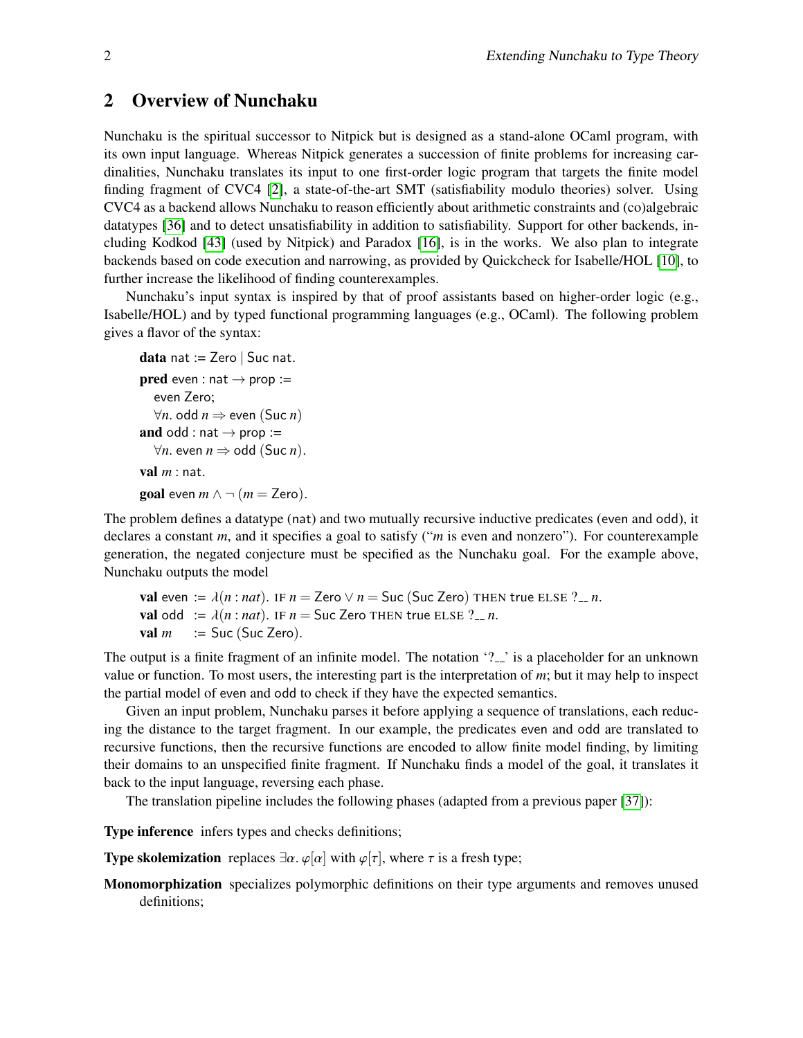### 2 Overview of Nunchaku

Nunchaku is the spiritual successor to Nitpick but is designed as a stand-alone OCaml program, with its own input language. Whereas Nitpick generates a succession of finite problems for increasing cardinalities, Nunchaku translates its input to one first-order logic program that targets the finite model finding fragment of CVC4 [\[2\]](#page-7-3), a state-of-the-art SMT (satisfiability modulo theories) solver. Using CVC4 as a backend allows Nunchaku to reason efficiently about arithmetic constraints and (co)algebraic datatypes [\[36\]](#page-8-3) and to detect unsatisfiability in addition to satisfiability. Support for other backends, including Kodkod [\[43\]](#page-9-0) (used by Nitpick) and Paradox [\[16\]](#page-7-4), is in the works. We also plan to integrate backends based on code execution and narrowing, as provided by Quickcheck for Isabelle/HOL [\[10\]](#page-7-5), to further increase the likelihood of finding counterexamples.

Nunchaku's input syntax is inspired by that of proof assistants based on higher-order logic (e.g., Isabelle/HOL) and by typed functional programming languages (e.g., OCaml). The following problem gives a flavor of the syntax:

```
data nat := Zero \vert Suc nat.
pred even : nat \rightarrow prop :=
   even Zero;
   ∀n. odd n ⇒ even (Suc n)
and odd : nat \rightarrow prop :=
  ∀n. even n ⇒ odd (Suc n).
val m: nat.
goal even m \wedge \neg (m = \text{Zero}).
```
The problem defines a datatype (nat) and two mutually recursive inductive predicates (even and odd), it declares a constant *m*, and it specifies a goal to satisfy ("*m* is even and nonzero"). For counterexample generation, the negated conjecture must be specified as the Nunchaku goal. For the example above, Nunchaku outputs the model

val even :=  $\lambda(n : nat)$ . IF  $n = \text{Zero} \vee n = \text{Suc}$  (Suc Zero) THEN true ELSE ?..., n. val odd :=  $\lambda(n : nat)$ . IF  $n =$  Suc Zero THEN true ELSE ?... *n*.<br>val  $m$  := Suc (Suc Zero). *:*= Suc (Suc Zero).

The output is a finite fragment of an infinite model. The notation '?..' is a placeholder for an unknown value or function. To most users, the interesting part is the interpretation of *m*; but it may help to inspect the partial model of even and odd to check if they have the expected semantics.

Given an input problem, Nunchaku parses it before applying a sequence of translations, each reducing the distance to the target fragment. In our example, the predicates even and odd are translated to recursive functions, then the recursive functions are encoded to allow finite model finding, by limiting their domains to an unspecified finite fragment. If Nunchaku finds a model of the goal, it translates it back to the input language, reversing each phase.

The translation pipeline includes the following phases (adapted from a previous paper [\[37\]](#page-8-4)):

Type inference infers types and checks definitions;

**Type skolemization** replaces  $\exists \alpha$ .  $\varphi[\alpha]$  with  $\varphi[\tau]$ , where  $\tau$  is a fresh type;

Monomorphization specializes polymorphic definitions on their type arguments and removes unused definitions;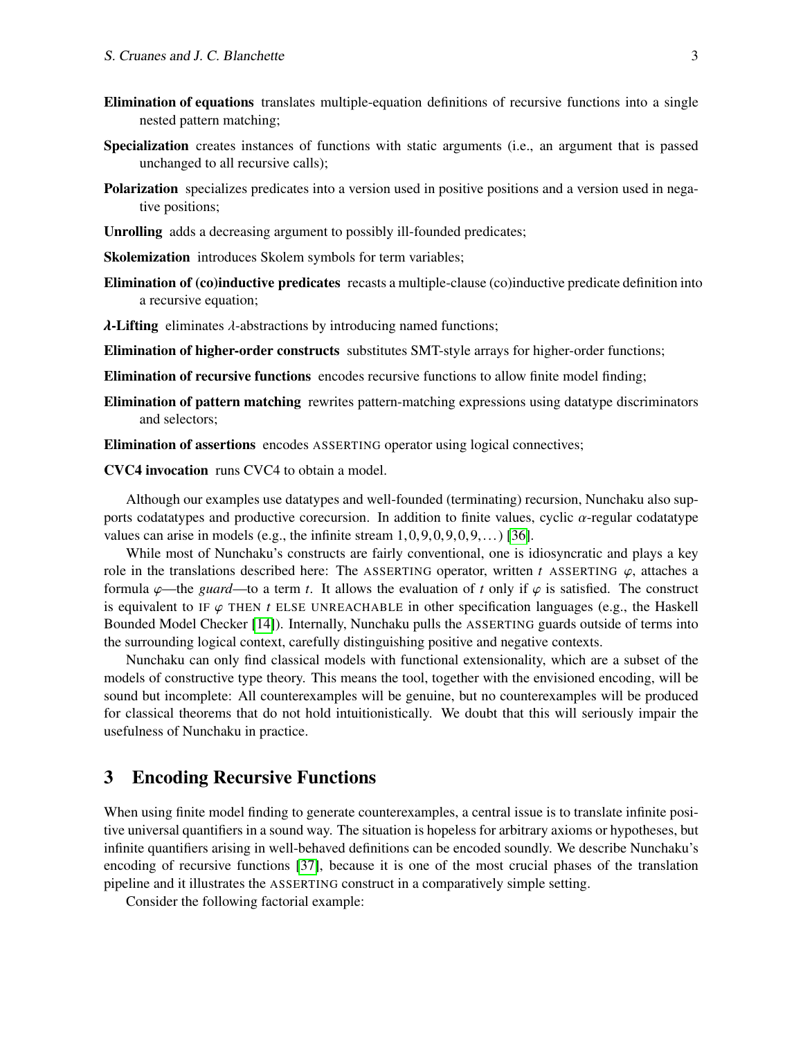- Elimination of equations translates multiple-equation definitions of recursive functions into a single nested pattern matching;
- Specialization creates instances of functions with static arguments (i.e., an argument that is passed unchanged to all recursive calls);
- Polarization specializes predicates into a version used in positive positions and a version used in negative positions;
- Unrolling adds a decreasing argument to possibly ill-founded predicates;

Skolemization introduces Skolem symbols for term variables;

Elimination of (co)inductive predicates recasts a multiple-clause (co)inductive predicate definition into a recursive equation;

 $\lambda$ -Lifting eliminates  $\lambda$ -abstractions by introducing named functions;

Elimination of higher-order constructs substitutes SMT-style arrays for higher-order functions;

Elimination of recursive functions encodes recursive functions to allow finite model finding;

Elimination of pattern matching rewrites pattern-matching expressions using datatype discriminators and selectors;

Elimination of assertions encodes ASSERTING operator using logical connectives;

CVC4 invocation runs CVC4 to obtain a model.

Although our examples use datatypes and well-founded (terminating) recursion, Nunchaku also supports codatatypes and productive corecursion. In addition to finite values, cyclic  $\alpha$ -regular codatatype values can arise in models (e.g., the infinite stream  $1,0,9,0,9,0,9,...$ ) [\[36\]](#page-8-3).

While most of Nunchaku's constructs are fairly conventional, one is idiosyncratic and plays a key role in the translations described here: The ASSERTING operator, written *t* ASSERTING  $\varphi$ , attaches a formula  $\varphi$ —the *guard*—to a term *t*. It allows the evaluation of *t* only if  $\varphi$  is satisfied. The construct is equivalent to IF  $\varphi$  THEN *t* ELSE UNREACHABLE in other specification languages (e.g., the Haskell Bounded Model Checker [\[14\]](#page-7-6)). Internally, Nunchaku pulls the ASSERTING guards outside of terms into the surrounding logical context, carefully distinguishing positive and negative contexts.

Nunchaku can only find classical models with functional extensionality, which are a subset of the models of constructive type theory. This means the tool, together with the envisioned encoding, will be sound but incomplete: All counterexamples will be genuine, but no counterexamples will be produced for classical theorems that do not hold intuitionistically. We doubt that this will seriously impair the usefulness of Nunchaku in practice.

### 3 Encoding Recursive Functions

When using finite model finding to generate counterexamples, a central issue is to translate infinite positive universal quantifiers in a sound way. The situation is hopeless for arbitrary axioms or hypotheses, but infinite quantifiers arising in well-behaved definitions can be encoded soundly. We describe Nunchaku's encoding of recursive functions [\[37\]](#page-8-4), because it is one of the most crucial phases of the translation pipeline and it illustrates the ASSERTING construct in a comparatively simple setting.

Consider the following factorial example: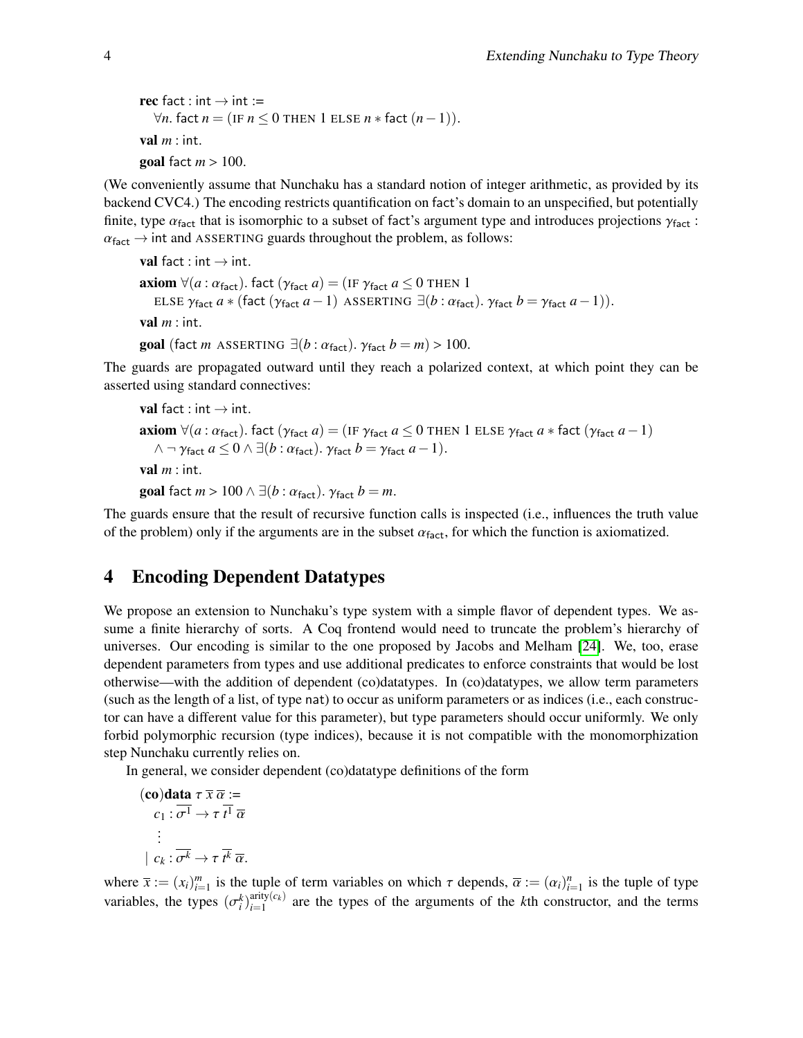```
rec fact : int \rightarrow int :=
  ∀n. fact n = (IF n ≤ 0 THEN 1 ELSE n * fact (n-1)).
val m : int.
goal fact m > 100.
```
(We conveniently assume that Nunchaku has a standard notion of integer arithmetic, as provided by its backend CVC4.) The encoding restricts quantification on fact's domain to an unspecified, but potentially finite, type  $\alpha_{\text{fact}}$  that is isomorphic to a subset of fact's argument type and introduces projections  $\gamma_{\text{fact}}$ :  $\alpha_{\text{fact}} \rightarrow \text{int}$  and ASSERTING guards throughout the problem, as follows:

```
val fact : int \rightarrow int.
axiom \forall (a : \alpha_{\text{fact}}). fact (\gamma_{\text{fact}} a) = (\text{IF } \gamma_{\text{fact}} a \leq 0 \text{ THEN } 1ELSE \gamma_{\text{fact}} a * (\text{fact } (\gamma_{\text{fact}} a - 1) \text{ ASSENTING } \exists (b : \alpha_{\text{fact}}) \ldotp \gamma_{\text{fact}} b = \gamma_{\text{fact}} a - 1)).val m : int.
```
goal (fact *m* ASSERTING  $\exists (b : \alpha_{\text{fact}})$ .  $\gamma_{\text{fact}} b = m$ ) > 100.

The guards are propagated outward until they reach a polarized context, at which point they can be asserted using standard connectives:

```
val fact : int \rightarrow int.
axiom \forall (a : \alpha_{\text{fact}}). fact (\gamma_{\text{fact}} a) = (\text{IF } \gamma_{\text{fact}} a \leq 0 \text{ THEN } 1 \text{ ELSE } \gamma_{\text{fact}} a * \text{fact } (\gamma_{\text{fact}} a - 1)\wedge \neg \gamma_{\text{fact}} a \leq 0 \wedge \exists (b : \alpha_{\text{fact}}) \ldotp \gamma_{\text{fact}} b = \gamma_{\text{fact}} a - 1).val m: int.
goal fact m > 100 \land \exists (b : \alpha_{\text{fact}}). \gamma_{\text{fact}} b = m.
```
The guards ensure that the result of recursive function calls is inspected (i.e., influences the truth value of the problem) only if the arguments are in the subset  $\alpha_{\text{fact}}$ , for which the function is axiomatized.

## <span id="page-3-0"></span>4 Encoding Dependent Datatypes

We propose an extension to Nunchaku's type system with a simple flavor of dependent types. We assume a finite hierarchy of sorts. A Coq frontend would need to truncate the problem's hierarchy of universes. Our encoding is similar to the one proposed by Jacobs and Melham [\[24\]](#page-8-5). We, too, erase dependent parameters from types and use additional predicates to enforce constraints that would be lost otherwise—with the addition of dependent (co)datatypes. In (co)datatypes, we allow term parameters (such as the length of a list, of type nat) to occur as uniform parameters or as indices (i.e., each constructor can have a different value for this parameter), but type parameters should occur uniformly. We only forbid polymorphic recursion (type indices), because it is not compatible with the monomorphization step Nunchaku currently relies on.

In general, we consider dependent (co)datatype definitions of the form

$$
(\mathbf{co})\mathbf{data} \tau \overline{x} \overline{\alpha} :=
$$
  
\n
$$
c_1 : \overline{\sigma^1} \to \tau \overline{t^1} \overline{\alpha}
$$
  
\n
$$
\vdots
$$
  
\n
$$
c_k : \overline{\sigma^k} \to \tau \overline{t^k} \overline{\alpha}.
$$

where  $\bar{x} := (x_i)_{i=1}^m$  is the tuple of term variables on which  $\tau$  depends,  $\bar{\alpha} := (\alpha_i)_{i=1}^n$  is the tuple of type variables, the types  $(\sigma_i^k)_{i=1}^{\text{arity}(c_k)}$  $\lim_{i=1}^{a_{\text{Hly}}(c_k)}$  are the types of the arguments of the *k*th constructor, and the terms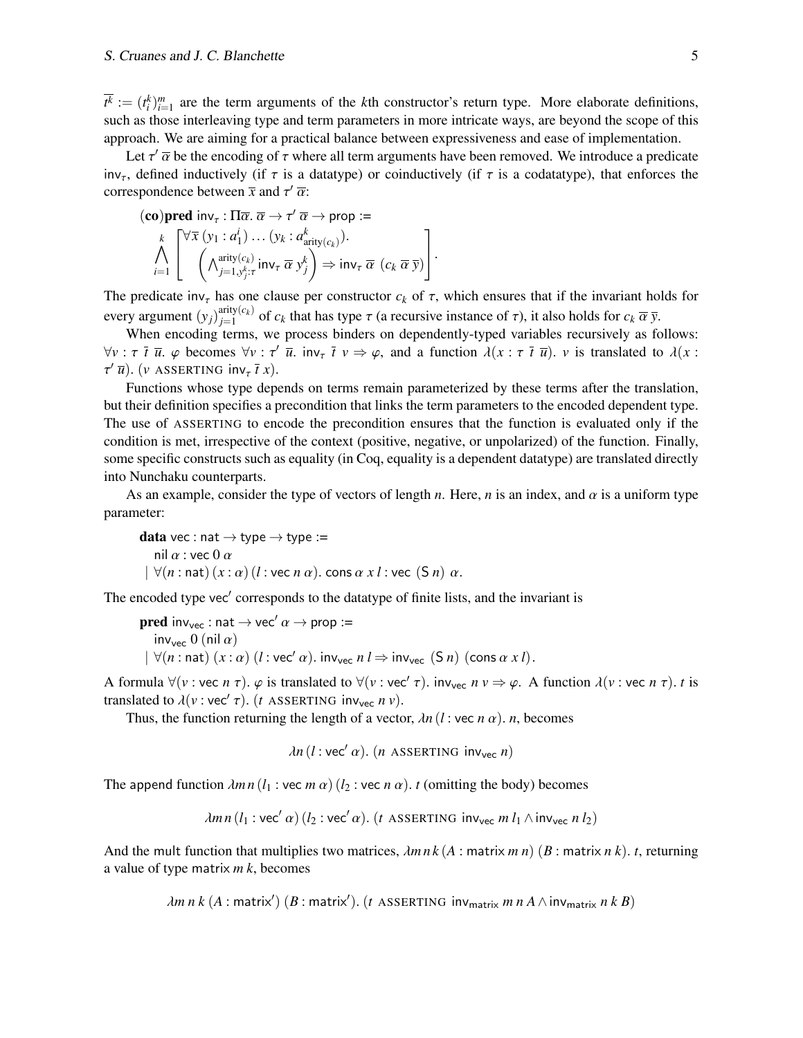#### S. Cruanes and J. C. Blanchette 5

 $\overline{t^k} := (t_i^k)_{i=1}^m$  are the term arguments of the *k*th constructor's return type. More elaborate definitions, such as those interleaving type and term parameters in more intricate ways, are beyond the scope of this approach. We are aiming for a practical balance between expressiveness and ease of implementation.

Let  $\tau'$   $\overline{\alpha}$  be the encoding of  $\tau$  where all term arguments have been removed. We introduce a predicate<br>defined inductively (if  $\tau$  is a datatype) or coinductively (if  $\tau$  is a codatatype), that enforces the inv<sub>τ</sub>, defined inductively (if  $\tau$  is a datatype) or coinductively (if  $\tau$  is a codatatype), that enforces the correspondence between  $\bar{x}$  and  $\tau'$   $\bar{\alpha}$ :

$$
\begin{array}{l} \textbf{(co)pred inv}_{\tau}: \Pi\overline{\alpha}.\ \overline{\alpha} \to \tau'\ \overline{\alpha} \to \text{prop} := \\ \bigwedge_{i=1}^{k} \left[ \begin{matrix} \forall \overline{x} \ (y_1 : a_1^i) \ \dots \ (y_k : a_{\text{arity}(c_k)}^k). \\ \ (\wedge_{j=1, y_j^k:\tau}^{\text{arity}(c_k)} \text{inv}_{\tau} \ \overline{\alpha} \ y_j^k \end{matrix} \right] \Rightarrow \text{inv}_{\tau} \ \overline{\alpha} \ (c_k \ \overline{\alpha} \ \overline{y}) \end{array} \right].
$$

The predicate  $inv_{\tau}$  has one clause per constructor  $c_k$  of  $\tau$ , which ensures that if the invariant holds for every argument  $(y_j)_{i=1}^{\text{arity}(c_k)}$  $j=1$ <br>*j*=1  $j$  of *c<sub>k</sub>* that has type  $\tau$  (a recursive instance of  $\tau$ ), it also holds for  $c_k \overline{\alpha} \overline{y}$ .

When encoding terms, we process binders on dependently-typed variables recursively as follows:  $\forall v : \tau \bar{t} \bar{u}$ .  $\varphi$  becomes  $\forall v : \tau' \bar{u}$ . inv<sub> $\tau$ </sub>  $\bar{t} v \Rightarrow \varphi$ , and a function  $\lambda(x : \tau \bar{t} \bar{u})$ . *v* is translated to  $\lambda(x : \tau' \bar{u})$  $\tau'$   $\overline{u}$ ). (*v* ASSERTING inv<sub> $\tau$ </sub>  $\overline{t}$  *x*).

Functions whose type depends on terms remain parameterized by these terms after the translation, but their definition specifies a precondition that links the term parameters to the encoded dependent type. The use of ASSERTING to encode the precondition ensures that the function is evaluated only if the condition is met, irrespective of the context (positive, negative, or unpolarized) of the function. Finally, some specific constructs such as equality (in Coq, equality is a dependent datatype) are translated directly into Nunchaku counterparts.

As an example, consider the type of vectors of length *n*. Here, *n* is an index, and  $\alpha$  is a uniform type parameter:

data vec : nat  $\rightarrow$  type  $\rightarrow$  type := nil  $\alpha$  : vec 0  $\alpha$  $\forall (n : \text{nat}) (x : \alpha) (l : \text{vec } n \alpha)$ . cons  $\alpha x l : \text{vec } (S n) \alpha$ .

The encoded type vec' corresponds to the datatype of finite lists, and the invariant is

```
pred inv<sub>vec</sub> : nat \rightarrow vec' \alpha \rightarrow prop :=
     inv<sub>vec</sub> 0 (nil \alpha)
 |\forall (n : \text{nat}) (x : \alpha) (l : \text{vec}' \alpha). inv<sub>vec</sub> n l \Rightarrow \text{inv}_{\text{vec}} (S n) (cons \alpha x l).
```
A formula  $\forall (v : vec \ n \tau)$ .  $\varphi$  is translated to  $\forall (v : vec' \tau)$ . inv<sub>vec</sub>  $n v \Rightarrow \varphi$ . A function  $\lambda(v : vec \ n \tau)$ . *t* is translated to  $\lambda(v : vec' \tau)$  (*t*  $\land$  SSERTING inv *ny*) translated to  $\lambda(v : vec' \tau)$ . (*t* ASSERTING inv<sub>vec</sub> *n v*).<br>Thus the function returning the length of a vector

Thus, the function returning the length of a vector,  $\lambda n (l : \text{vec } n \alpha)$ . *n*, becomes

$$
\lambda n (l : \text{vec}' \alpha). (n \text{ ASSENTING inv}_{\text{vec}} n)
$$

The append function  $\lambda mn (l_1 : \text{vec } m \alpha)$  ( $l_2 : \text{vec } n \alpha)$ ). *t* (omitting the body) becomes

$$
\lambda mn (l_1 : \text{vec}' \alpha) (l_2 : \text{vec}' \alpha). (t \text{ ASSERTING inv}_{\text{vec}} m l_1 \wedge \text{inv}_{\text{vec}} n l_2)
$$

And the mult function that multiplies two matrices,  $\lambda mn \, k (A : \text{matrix } m \, n)$  ( $B : \text{matrix } n \, k$ ). *t*, returning a value of type matrix *m k*, becomes

 $\lambda$ *m n k* (A : matrix') (B : matrix'). (*t* ASSERTING inv<sub>matrix</sub> *m n A*  $\wedge$  inv<sub>matrix</sub> *n k B*)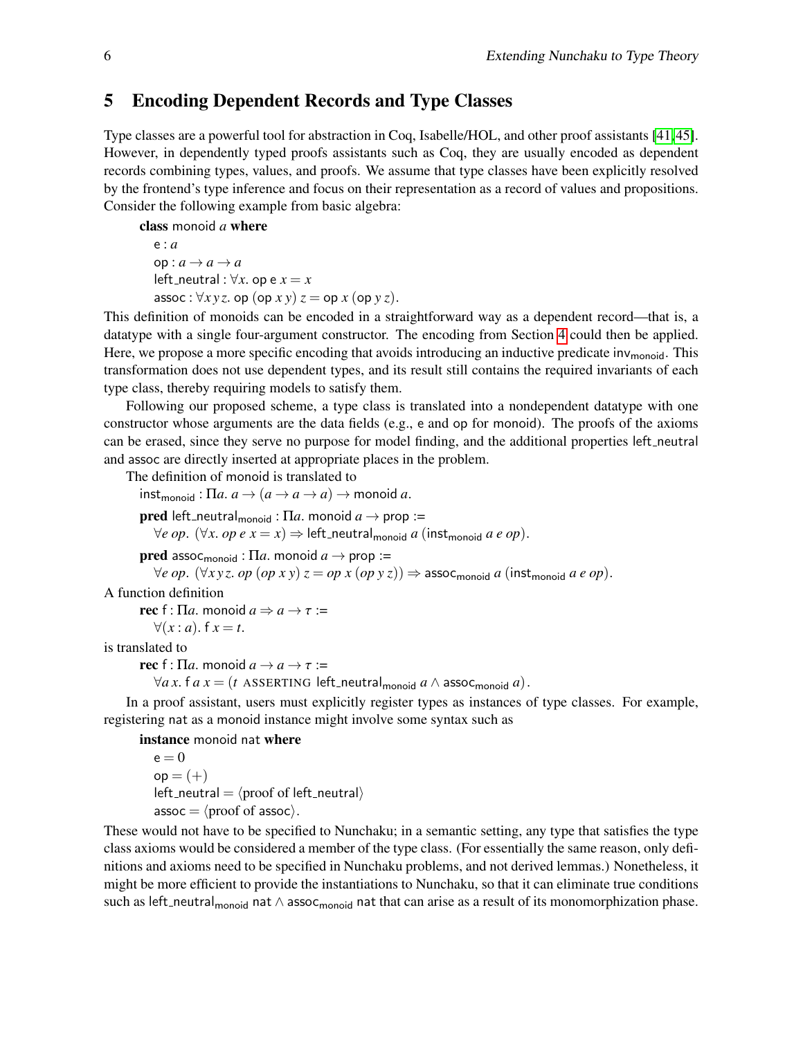### 5 Encoding Dependent Records and Type Classes

Type classes are a powerful tool for abstraction in Coq, Isabelle/HOL, and other proof assistants [\[41,](#page-9-1)[45\]](#page-9-2). However, in dependently typed proofs assistants such as Coq, they are usually encoded as dependent records combining types, values, and proofs. We assume that type classes have been explicitly resolved by the frontend's type inference and focus on their representation as a record of values and propositions. Consider the following example from basic algebra:

class monoid *a* where

e : *a*  $op : a \rightarrow a \rightarrow a$ left\_neutral :  $\forall x$ . op e  $x = x$ assoc :  $\forall xyz$ . op (op *x* y)  $z =$  op *x* (op *y z*).

This definition of monoids can be encoded in a straightforward way as a dependent record—that is, a datatype with a single four-argument constructor. The encoding from Section [4](#page-3-0) could then be applied. Here, we propose a more specific encoding that avoids introducing an inductive predicate inv<sub>monoid</sub>. This transformation does not use dependent types, and its result still contains the required invariants of each type class, thereby requiring models to satisfy them.

Following our proposed scheme, a type class is translated into a nondependent datatype with one constructor whose arguments are the data fields (e.g., e and op for monoid). The proofs of the axioms can be erased, since they serve no purpose for model finding, and the additional properties left\_neutral and assoc are directly inserted at appropriate places in the problem.

The definition of monoid is translated to

 $int_{monoid}$ :  $\Pi a \cdot a \rightarrow (a \rightarrow a \rightarrow a)$   $\rightarrow$  monoid *a*. **pred** left\_neutral<sub>monoid</sub> : Π*a*. monoid  $a \rightarrow$  prop :=  $∀e op. (∀x. op e x = x) ⇒ left-neutral_{monoid} a (inst_{monoid} a e op).$ **pred** assoc<sub>monoid</sub> :  $\Pi a$ . monoid  $a \rightarrow$  prop :=  $\forall e \text{ op. } (\forall x \text{ y } z. \text{ op } (op x \text{ y}) z = op x (op y z)) \Rightarrow \text{assoc}_{\text{monoid}} a (in \text{st}_{\text{monoid}} a e op).$ A function definition **rec** f : Π*a*. monoid  $a \Rightarrow a \rightarrow \tau$  :=  $∀(x : a)$ . f  $x = t$ .

is translated to

rec f : Π*a*. monoid  $a \rightarrow a \rightarrow \tau$  :=

 $\forall a \, x.$  f  $a \, x = (t \text{ ASSERTING left-neutral}_{\text{monoid}} a \land \text{assoc}_{\text{monoid}} a).$ 

In a proof assistant, users must explicitly register types as instances of type classes. For example, registering nat as a monoid instance might involve some syntax such as

instance monoid nat where

 $e = 0$  $op = (+)$ left\_neutral  $=$   $\langle$ proof of left\_neutral $\rangle$  $assoc = \langle proof of assoc \rangle$ .

These would not have to be specified to Nunchaku; in a semantic setting, any type that satisfies the type class axioms would be considered a member of the type class. (For essentially the same reason, only definitions and axioms need to be specified in Nunchaku problems, and not derived lemmas.) Nonetheless, it might be more efficient to provide the instantiations to Nunchaku, so that it can eliminate true conditions such as left\_neutral<sub>monoid</sub> nat  $\wedge$  assoc<sub>monoid</sub> nat that can arise as a result of its monomorphization phase.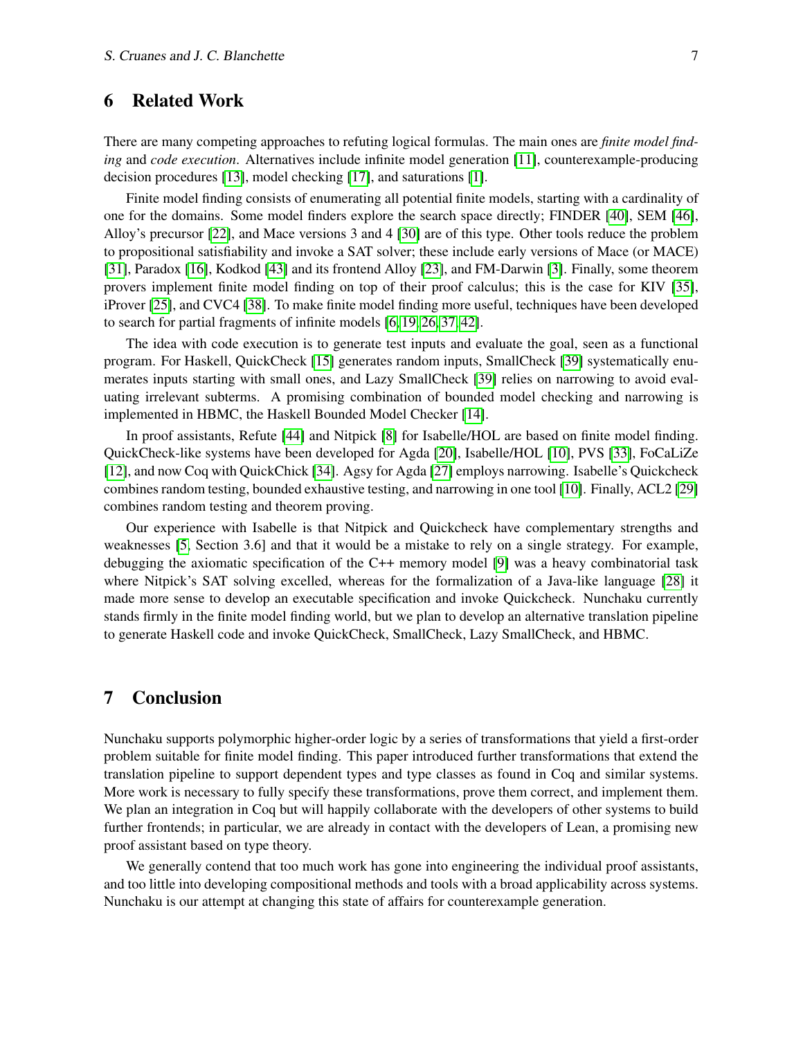### 6 Related Work

There are many competing approaches to refuting logical formulas. The main ones are *finite model finding* and *code execution*. Alternatives include infinite model generation [\[11\]](#page-7-7), counterexample-producing decision procedures [\[13\]](#page-7-8), model checking [\[17\]](#page-7-9), and saturations [\[1\]](#page-7-10).

Finite model finding consists of enumerating all potential finite models, starting with a cardinality of one for the domains. Some model finders explore the search space directly; FINDER [\[40\]](#page-9-3), SEM [\[46\]](#page-9-4), Alloy's precursor [\[22\]](#page-8-6), and Mace versions 3 and 4 [\[30\]](#page-8-7) are of this type. Other tools reduce the problem to propositional satisfiability and invoke a SAT solver; these include early versions of Mace (or MACE) [\[31\]](#page-8-8), Paradox [\[16\]](#page-7-4), Kodkod [\[43\]](#page-9-0) and its frontend Alloy [\[23\]](#page-8-9), and FM-Darwin [\[3\]](#page-7-11). Finally, some theorem provers implement finite model finding on top of their proof calculus; this is the case for KIV [\[35\]](#page-8-10), iProver [\[25\]](#page-8-11), and CVC4 [\[38\]](#page-9-5). To make finite model finding more useful, techniques have been developed to search for partial fragments of infinite models [\[6,](#page-7-12) [19,](#page-8-12) [26,](#page-8-13) [37,](#page-8-4) [42\]](#page-9-6).

The idea with code execution is to generate test inputs and evaluate the goal, seen as a functional program. For Haskell, QuickCheck [\[15\]](#page-7-13) generates random inputs, SmallCheck [\[39\]](#page-9-7) systematically enumerates inputs starting with small ones, and Lazy SmallCheck [\[39\]](#page-9-7) relies on narrowing to avoid evaluating irrelevant subterms. A promising combination of bounded model checking and narrowing is implemented in HBMC, the Haskell Bounded Model Checker [\[14\]](#page-7-6).

In proof assistants, Refute [\[44\]](#page-9-8) and Nitpick [\[8\]](#page-7-1) for Isabelle/HOL are based on finite model finding. QuickCheck-like systems have been developed for Agda [\[20\]](#page-8-14), Isabelle/HOL [\[10\]](#page-7-5), PVS [\[33\]](#page-8-15), FoCaLiZe [\[12\]](#page-7-14), and now Coq with QuickChick [\[34\]](#page-8-16). Agsy for Agda [\[27\]](#page-8-17) employs narrowing. Isabelle's Quickcheck combines random testing, bounded exhaustive testing, and narrowing in one tool [\[10\]](#page-7-5). Finally, ACL2 [\[29\]](#page-8-18) combines random testing and theorem proving.

Our experience with Isabelle is that Nitpick and Quickcheck have complementary strengths and weaknesses [\[5,](#page-7-15) Section 3.6] and that it would be a mistake to rely on a single strategy. For example, debugging the axiomatic specification of the C++ memory model [\[9\]](#page-7-16) was a heavy combinatorial task where Nitpick's SAT solving excelled, whereas for the formalization of a Java-like language [\[28\]](#page-8-19) it made more sense to develop an executable specification and invoke Quickcheck. Nunchaku currently stands firmly in the finite model finding world, but we plan to develop an alternative translation pipeline to generate Haskell code and invoke QuickCheck, SmallCheck, Lazy SmallCheck, and HBMC.

### 7 Conclusion

Nunchaku supports polymorphic higher-order logic by a series of transformations that yield a first-order problem suitable for finite model finding. This paper introduced further transformations that extend the translation pipeline to support dependent types and type classes as found in Coq and similar systems. More work is necessary to fully specify these transformations, prove them correct, and implement them. We plan an integration in Coq but will happily collaborate with the developers of other systems to build further frontends; in particular, we are already in contact with the developers of Lean, a promising new proof assistant based on type theory.

We generally contend that too much work has gone into engineering the individual proof assistants, and too little into developing compositional methods and tools with a broad applicability across systems. Nunchaku is our attempt at changing this state of affairs for counterexample generation.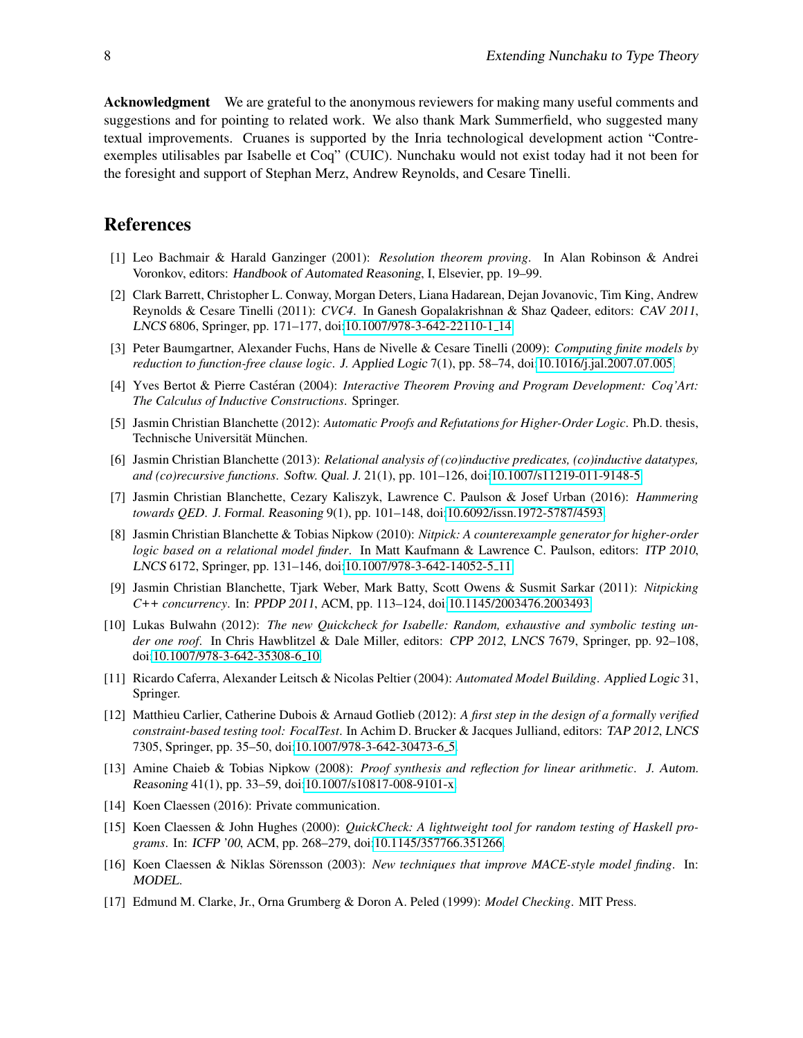Acknowledgment We are grateful to the anonymous reviewers for making many useful comments and suggestions and for pointing to related work. We also thank Mark Summerfield, who suggested many textual improvements. Cruanes is supported by the Inria technological development action "Contreexemples utilisables par Isabelle et Coq" (CUIC). Nunchaku would not exist today had it not been for the foresight and support of Stephan Merz, Andrew Reynolds, and Cesare Tinelli.

### References

- <span id="page-7-10"></span>[1] Leo Bachmair & Harald Ganzinger (2001): *Resolution theorem proving*. In Alan Robinson & Andrei Voronkov, editors: Handbook of Automated Reasoning, I, Elsevier, pp. 19–99.
- <span id="page-7-3"></span>[2] Clark Barrett, Christopher L. Conway, Morgan Deters, Liana Hadarean, Dejan Jovanovic, Tim King, Andrew Reynolds & Cesare Tinelli (2011): *CVC4*. In Ganesh Gopalakrishnan & Shaz Qadeer, editors: CAV 2011, LNCS 6806, Springer, pp. 171–177, doi[:10.1007/978-3-642-22110-1](http://dx.doi.org/10.1007/978-3-642-22110-1_14) 14.
- <span id="page-7-11"></span>[3] Peter Baumgartner, Alexander Fuchs, Hans de Nivelle & Cesare Tinelli (2009): *Computing finite models by reduction to function-free clause logic*. J. Applied Logic 7(1), pp. 58–74, doi[:10.1016/j.jal.2007.07.005.](http://dx.doi.org/10.1016/j.jal.2007.07.005)
- <span id="page-7-2"></span>[4] Yves Bertot & Pierre Castéran (2004): *Interactive Theorem Proving and Program Development: Coq'Art: The Calculus of Inductive Constructions*. Springer.
- <span id="page-7-15"></span>[5] Jasmin Christian Blanchette (2012): *Automatic Proofs and Refutations for Higher-Order Logic*. Ph.D. thesis, Technische Universität München.
- <span id="page-7-12"></span>[6] Jasmin Christian Blanchette (2013): *Relational analysis of (co)inductive predicates, (co)inductive datatypes, and (co)recursive functions*. Softw. Qual. J. 21(1), pp. 101–126, doi[:10.1007/s11219-011-9148-5.](http://dx.doi.org/10.1007/s11219-011-9148-5)
- <span id="page-7-0"></span>[7] Jasmin Christian Blanchette, Cezary Kaliszyk, Lawrence C. Paulson & Josef Urban (2016): *Hammering towards QED*. J. Formal. Reasoning 9(1), pp. 101–148, doi[:10.6092/issn.1972-5787/4593.](http://dx.doi.org/10.6092/issn.1972-5787/4593)
- <span id="page-7-1"></span>[8] Jasmin Christian Blanchette & Tobias Nipkow (2010): *Nitpick: A counterexample generator for higher-order logic based on a relational model finder*. In Matt Kaufmann & Lawrence C. Paulson, editors: ITP 2010, LNCS 6172, Springer, pp. 131–146, doi[:10.1007/978-3-642-14052-5](http://dx.doi.org/10.1007/978-3-642-14052-5_11) 11.
- <span id="page-7-16"></span>[9] Jasmin Christian Blanchette, Tjark Weber, Mark Batty, Scott Owens & Susmit Sarkar (2011): *Nitpicking C++ concurrency*. In: PPDP 2011, ACM, pp. 113–124, doi[:10.1145/2003476.2003493.](http://dx.doi.org/10.1145/2003476.2003493)
- <span id="page-7-5"></span>[10] Lukas Bulwahn (2012): *The new Quickcheck for Isabelle: Random, exhaustive and symbolic testing under one roof*. In Chris Hawblitzel & Dale Miller, editors: CPP 2012, LNCS 7679, Springer, pp. 92–108, doi[:10.1007/978-3-642-35308-6](http://dx.doi.org/10.1007/978-3-642-35308-6_10) 10.
- <span id="page-7-7"></span>[11] Ricardo Caferra, Alexander Leitsch & Nicolas Peltier (2004): *Automated Model Building*. Applied Logic 31, Springer.
- <span id="page-7-14"></span>[12] Matthieu Carlier, Catherine Dubois & Arnaud Gotlieb (2012): *A first step in the design of a formally verified constraint-based testing tool: FocalTest*. In Achim D. Brucker & Jacques Julliand, editors: TAP 2012, LNCS 7305, Springer, pp. 35–50, doi[:10.1007/978-3-642-30473-6](http://dx.doi.org/10.1007/978-3-642-30473-6_5) 5.
- <span id="page-7-8"></span>[13] Amine Chaieb & Tobias Nipkow (2008): *Proof synthesis and reflection for linear arithmetic*. J. Autom. Reasoning 41(1), pp. 33–59, doi[:10.1007/s10817-008-9101-x.](http://dx.doi.org/10.1007/s10817-008-9101-x)
- <span id="page-7-6"></span>[14] Koen Claessen (2016): Private communication.
- <span id="page-7-13"></span>[15] Koen Claessen & John Hughes (2000): *QuickCheck: A lightweight tool for random testing of Haskell programs*. In: ICFP '00, ACM, pp. 268–279, doi[:10.1145/357766.351266.](http://dx.doi.org/10.1145/357766.351266)
- <span id="page-7-4"></span>[16] Koen Claessen & Niklas Sörensson (2003): *New techniques that improve MACE-style model finding*. In: MODEL.
- <span id="page-7-9"></span>[17] Edmund M. Clarke, Jr., Orna Grumberg & Doron A. Peled (1999): *Model Checking*. MIT Press.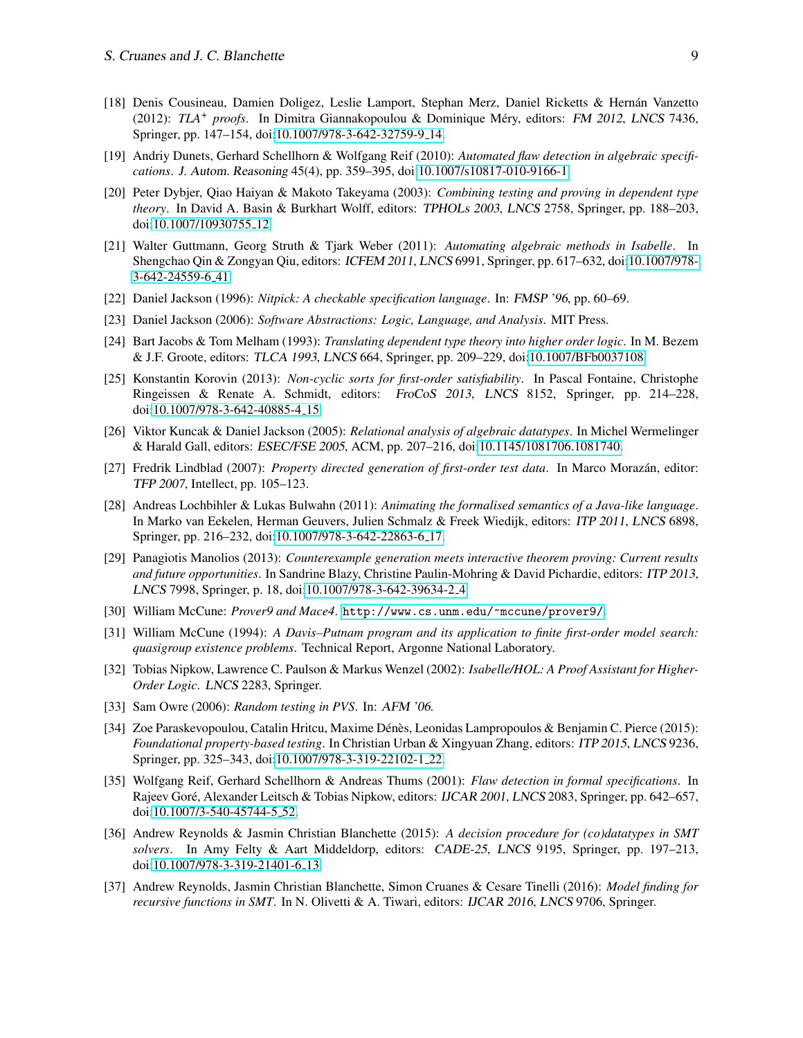- <span id="page-8-2"></span>[18] Denis Cousineau, Damien Doligez, Leslie Lamport, Stephan Merz, Daniel Ricketts & Hernan Vanzetto ´ (2012): *TLA<sup>+</sup> proofs*. In Dimitra Giannakopoulou & Dominique Méry, editors: FM 2012, LNCS 7436, Springer, pp. 147–154, doi[:10.1007/978-3-642-32759-9](http://dx.doi.org/10.1007/978-3-642-32759-9_14) 14.
- <span id="page-8-12"></span>[19] Andriy Dunets, Gerhard Schellhorn & Wolfgang Reif (2010): *Automated flaw detection in algebraic specifications*. J. Autom. Reasoning 45(4), pp. 359–395, doi[:10.1007/s10817-010-9166-1.](http://dx.doi.org/10.1007/s10817-010-9166-1)
- <span id="page-8-14"></span>[20] Peter Dybjer, Qiao Haiyan & Makoto Takeyama (2003): *Combining testing and proving in dependent type theory*. In David A. Basin & Burkhart Wolff, editors: TPHOLs 2003, LNCS 2758, Springer, pp. 188–203, doi[:10.1007/10930755](http://dx.doi.org/10.1007/10930755_12) 12.
- <span id="page-8-0"></span>[21] Walter Guttmann, Georg Struth & Tjark Weber (2011): *Automating algebraic methods in Isabelle*. In Shengchao Qin & Zongyan Qiu, editors: ICFEM 2011, LNCS 6991, Springer, pp. 617–632, doi[:10.1007/978-](http://dx.doi.org/10.1007/978-3-642-24559-6_41) [3-642-24559-6](http://dx.doi.org/10.1007/978-3-642-24559-6_41) 41.
- <span id="page-8-6"></span>[22] Daniel Jackson (1996): *Nitpick: A checkable specification language*. In: FMSP '96, pp. 60–69.
- <span id="page-8-9"></span>[23] Daniel Jackson (2006): *Software Abstractions: Logic, Language, and Analysis*. MIT Press.
- <span id="page-8-5"></span>[24] Bart Jacobs & Tom Melham (1993): *Translating dependent type theory into higher order logic*. In M. Bezem & J.F. Groote, editors: TLCA 1993, LNCS 664, Springer, pp. 209–229, doi[:10.1007/BFb0037108.](http://dx.doi.org/10.1007/BFb0037108)
- <span id="page-8-11"></span>[25] Konstantin Korovin (2013): *Non-cyclic sorts for first-order satisfiability*. In Pascal Fontaine, Christophe Ringeissen & Renate A. Schmidt, editors: FroCoS 2013, LNCS 8152, Springer, pp. 214–228, doi[:10.1007/978-3-642-40885-4](http://dx.doi.org/10.1007/978-3-642-40885-4_15) 15.
- <span id="page-8-13"></span>[26] Viktor Kuncak & Daniel Jackson (2005): *Relational analysis of algebraic datatypes*. In Michel Wermelinger & Harald Gall, editors: ESEC/FSE 2005, ACM, pp. 207–216, doi[:10.1145/1081706.1081740.](http://dx.doi.org/10.1145/1081706.1081740)
- <span id="page-8-17"></span>[27] Fredrik Lindblad (2007): *Property directed generation of first-order test data*. In Marco Morazan, editor: ´ TFP 2007, Intellect, pp. 105–123.
- <span id="page-8-19"></span>[28] Andreas Lochbihler & Lukas Bulwahn (2011): *Animating the formalised semantics of a Java-like language*. In Marko van Eekelen, Herman Geuvers, Julien Schmalz & Freek Wiedijk, editors: ITP 2011, LNCS 6898, Springer, pp. 216–232, doi[:10.1007/978-3-642-22863-6](http://dx.doi.org/10.1007/978-3-642-22863-6_17) 17.
- <span id="page-8-18"></span>[29] Panagiotis Manolios (2013): *Counterexample generation meets interactive theorem proving: Current results and future opportunities*. In Sandrine Blazy, Christine Paulin-Mohring & David Pichardie, editors: ITP 2013, LNCS 7998, Springer, p. 18, doi[:10.1007/978-3-642-39634-2](http://dx.doi.org/10.1007/978-3-642-39634-2_4) 4.
- <span id="page-8-7"></span>[30] William McCune: *Prover9 and Mace4*. <http://www.cs.unm.edu/~mccune/prover9/>.
- <span id="page-8-8"></span>[31] William McCune (1994): *A Davis–Putnam program and its application to finite first-order model search: quasigroup existence problems*. Technical Report, Argonne National Laboratory.
- <span id="page-8-1"></span>[32] Tobias Nipkow, Lawrence C. Paulson & Markus Wenzel (2002): *Isabelle/HOL: A Proof Assistant for Higher-Order Logic*. LNCS 2283, Springer.
- <span id="page-8-15"></span>[33] Sam Owre (2006): *Random testing in PVS*. In: AFM '06.
- <span id="page-8-16"></span>[34] Zoe Paraskevopoulou, Catalin Hritcu, Maxime Dénès, Leonidas Lampropoulos & Benjamin C. Pierce (2015): *Foundational property-based testing*. In Christian Urban & Xingyuan Zhang, editors: ITP 2015, LNCS 9236, Springer, pp. 325–343, doi[:10.1007/978-3-319-22102-1](http://dx.doi.org/10.1007/978-3-319-22102-1_22) 22.
- <span id="page-8-10"></span>[35] Wolfgang Reif, Gerhard Schellhorn & Andreas Thums (2001): *Flaw detection in formal specifications*. In Rajeev Goré, Alexander Leitsch & Tobias Nipkow, editors: IJCAR 2001, LNCS 2083, Springer, pp. 642–657, doi[:10.1007/3-540-45744-5](http://dx.doi.org/10.1007/3-540-45744-5_52) 52.
- <span id="page-8-3"></span>[36] Andrew Reynolds & Jasmin Christian Blanchette (2015): *A decision procedure for (co)datatypes in SMT solvers*. In Amy Felty & Aart Middeldorp, editors: CADE-25, LNCS 9195, Springer, pp. 197–213, doi[:10.1007/978-3-319-21401-6](http://dx.doi.org/10.1007/978-3-319-21401-6_13)<sub>-</sub>13.
- <span id="page-8-4"></span>[37] Andrew Reynolds, Jasmin Christian Blanchette, Simon Cruanes & Cesare Tinelli (2016): *Model finding for recursive functions in SMT*. In N. Olivetti & A. Tiwari, editors: IJCAR 2016, LNCS 9706, Springer.